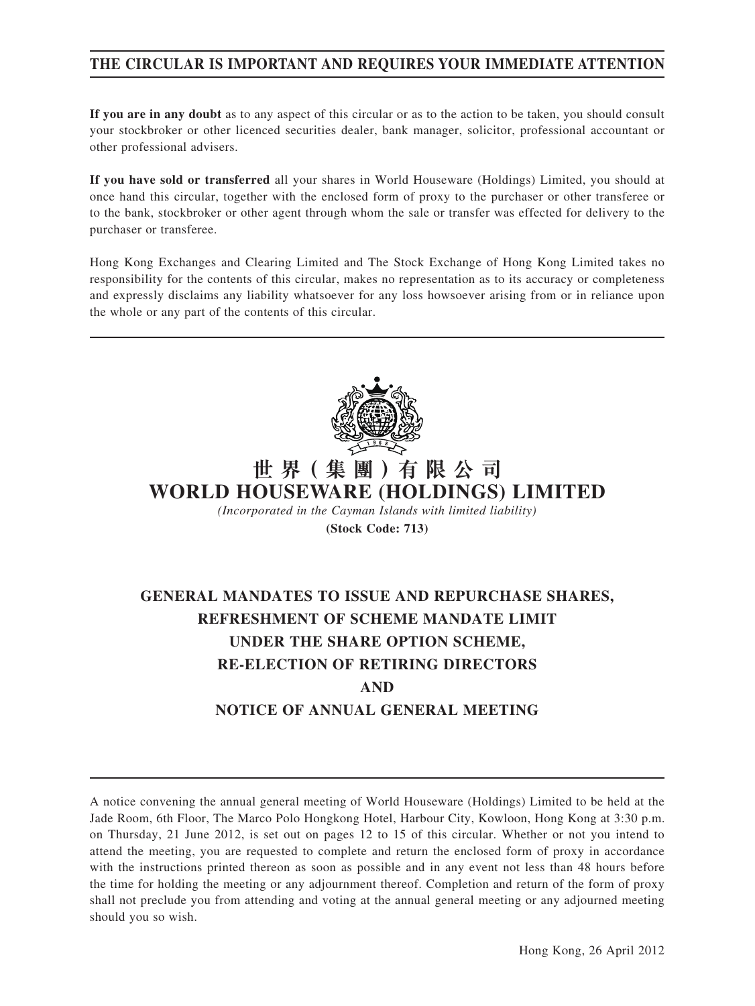### **THE CIRCULAR IS IMPORTANT AND REQUIRES YOUR IMMEDIATE ATTENTION**

**If you are in any doubt** as to any aspect of this circular or as to the action to be taken, you should consult your stockbroker or other licenced securities dealer, bank manager, solicitor, professional accountant or other professional advisers.

**If you have sold or transferred** all your shares in World Houseware (Holdings) Limited, you should at once hand this circular, together with the enclosed form of proxy to the purchaser or other transferee or to the bank, stockbroker or other agent through whom the sale or transfer was effected for delivery to the purchaser or transferee.

Hong Kong Exchanges and Clearing Limited and The Stock Exchange of Hong Kong Limited takes no responsibility for the contents of this circular, makes no representation as to its accuracy or completeness and expressly disclaims any liability whatsoever for any loss howsoever arising from or in reliance upon the whole or any part of the contents of this circular.



# **世 界( 集 團 )有 限 公 司 WORLD HOUSEWARE (HOLDINGS) LIMITED**

*(Incorporated in the Cayman Islands with limited liability)*

**(Stock Code: 713)**

# **GENERAL MANDATES TO ISSUE AND REPURCHASE SHARES, REFRESHMENT OF SCHEME MANDATE LIMIT UNDER THE SHARE OPTION SCHEME, RE-ELECTION OF RETIRING DIRECTORS AND NOTICE OF ANNUAL GENERAL MEETING**

A notice convening the annual general meeting of World Houseware (Holdings) Limited to be held at the Jade Room, 6th Floor, The Marco Polo Hongkong Hotel, Harbour City, Kowloon, Hong Kong at 3:30 p.m. on Thursday, 21 June 2012, is set out on pages 12 to 15 of this circular. Whether or not you intend to attend the meeting, you are requested to complete and return the enclosed form of proxy in accordance with the instructions printed thereon as soon as possible and in any event not less than 48 hours before the time for holding the meeting or any adjournment thereof. Completion and return of the form of proxy shall not preclude you from attending and voting at the annual general meeting or any adjourned meeting should you so wish.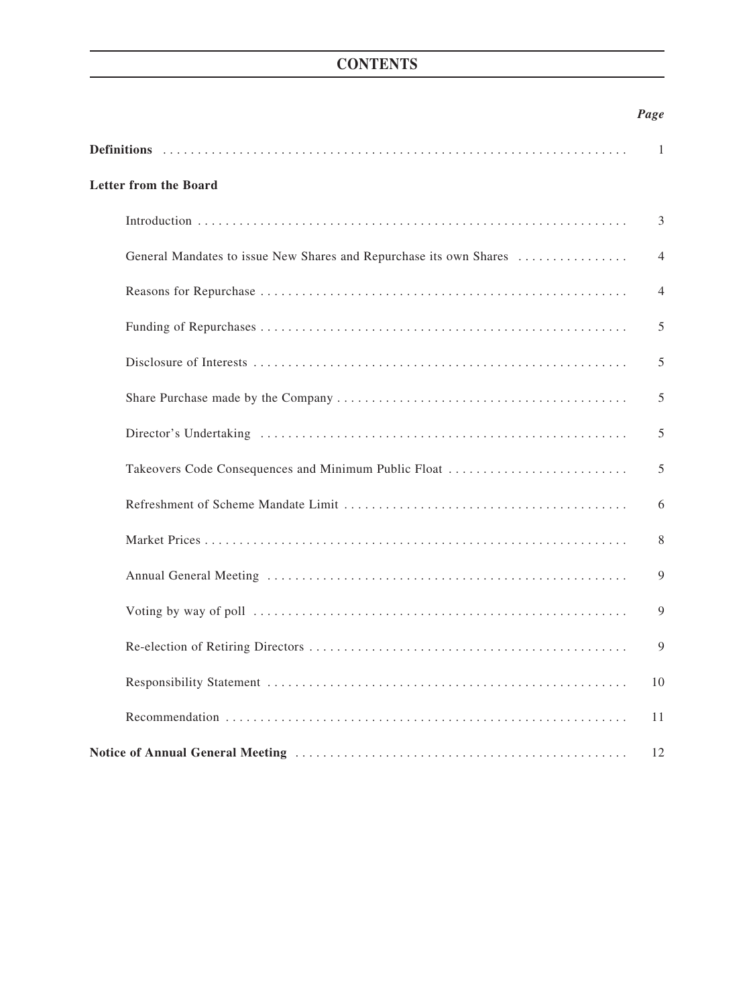## **CONTENTS**

### *Page*

|                                                                    | 1              |
|--------------------------------------------------------------------|----------------|
| <b>Letter from the Board</b>                                       |                |
|                                                                    | 3              |
| General Mandates to issue New Shares and Repurchase its own Shares | $\overline{4}$ |
|                                                                    | $\overline{4}$ |
|                                                                    | 5              |
|                                                                    | 5              |
|                                                                    | 5              |
|                                                                    | 5              |
| Takeovers Code Consequences and Minimum Public Float               | 5              |
|                                                                    | 6              |
|                                                                    | 8              |
|                                                                    | 9              |
|                                                                    | 9              |
|                                                                    | 9              |
|                                                                    | 10             |
|                                                                    | 11             |
|                                                                    | 12             |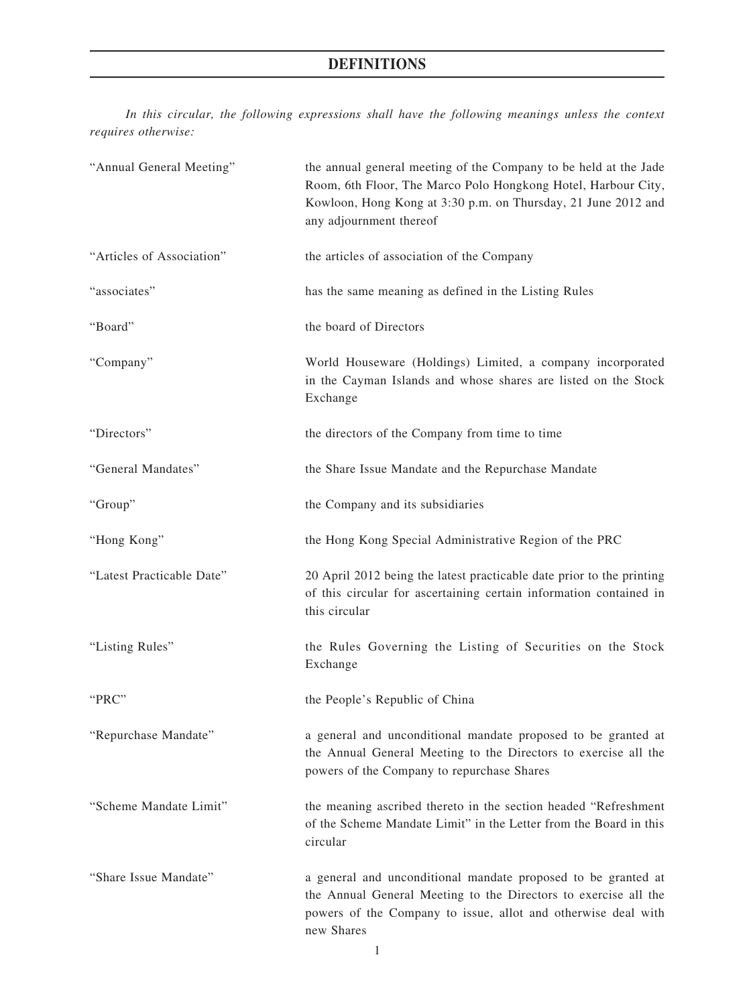## **DEFINITIONS**

*In this circular, the following expressions shall have the following meanings unless the context requires otherwise:*

| "Annual General Meeting"  | the annual general meeting of the Company to be held at the Jade<br>Room, 6th Floor, The Marco Polo Hongkong Hotel, Harbour City,<br>Kowloon, Hong Kong at 3:30 p.m. on Thursday, 21 June 2012 and<br>any adjournment thereof |
|---------------------------|-------------------------------------------------------------------------------------------------------------------------------------------------------------------------------------------------------------------------------|
| "Articles of Association" | the articles of association of the Company                                                                                                                                                                                    |
| "associates"              | has the same meaning as defined in the Listing Rules                                                                                                                                                                          |
| "Board"                   | the board of Directors                                                                                                                                                                                                        |
| "Company"                 | World Houseware (Holdings) Limited, a company incorporated<br>in the Cayman Islands and whose shares are listed on the Stock<br>Exchange                                                                                      |
| "Directors"               | the directors of the Company from time to time                                                                                                                                                                                |
| "General Mandates"        | the Share Issue Mandate and the Repurchase Mandate                                                                                                                                                                            |
| "Group"                   | the Company and its subsidiaries                                                                                                                                                                                              |
| "Hong Kong"               | the Hong Kong Special Administrative Region of the PRC                                                                                                                                                                        |
| "Latest Practicable Date" | 20 April 2012 being the latest practicable date prior to the printing<br>of this circular for ascertaining certain information contained in<br>this circular                                                                  |
| "Listing Rules"           | the Rules Governing the Listing of Securities on the Stock<br>Exchange                                                                                                                                                        |
| "PRC"                     | the People's Republic of China                                                                                                                                                                                                |
| "Repurchase Mandate"      | a general and unconditional mandate proposed to be granted at<br>the Annual General Meeting to the Directors to exercise all the<br>powers of the Company to repurchase Shares                                                |
| "Scheme Mandate Limit"    | the meaning ascribed thereto in the section headed "Refreshment<br>of the Scheme Mandate Limit" in the Letter from the Board in this<br>circular                                                                              |
| "Share Issue Mandate"     | a general and unconditional mandate proposed to be granted at<br>the Annual General Meeting to the Directors to exercise all the<br>powers of the Company to issue, allot and otherwise deal with<br>new Shares               |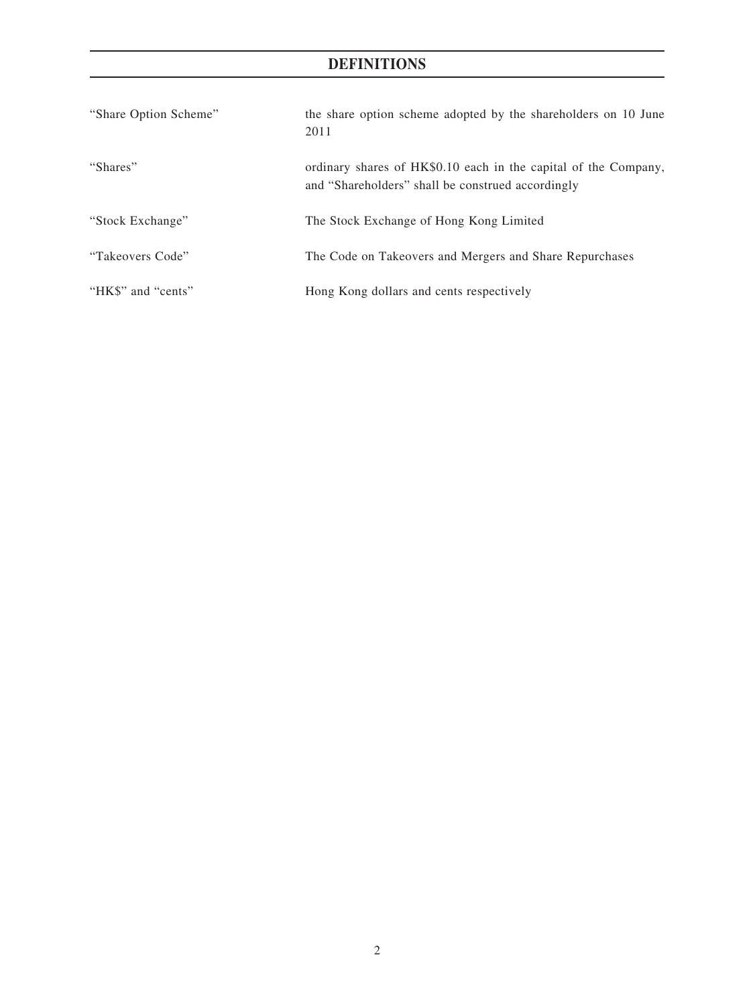## **DEFINITIONS**

| "Share Option Scheme" | the share option scheme adopted by the shareholders on 10 June<br>2011                                               |
|-----------------------|----------------------------------------------------------------------------------------------------------------------|
| "Shares"              | ordinary shares of HK\$0.10 each in the capital of the Company,<br>and "Shareholders" shall be construed accordingly |
| "Stock Exchange"      | The Stock Exchange of Hong Kong Limited                                                                              |
| "Takeovers Code"      | The Code on Takeovers and Mergers and Share Repurchases                                                              |
| "HK\$" and "cents"    | Hong Kong dollars and cents respectively                                                                             |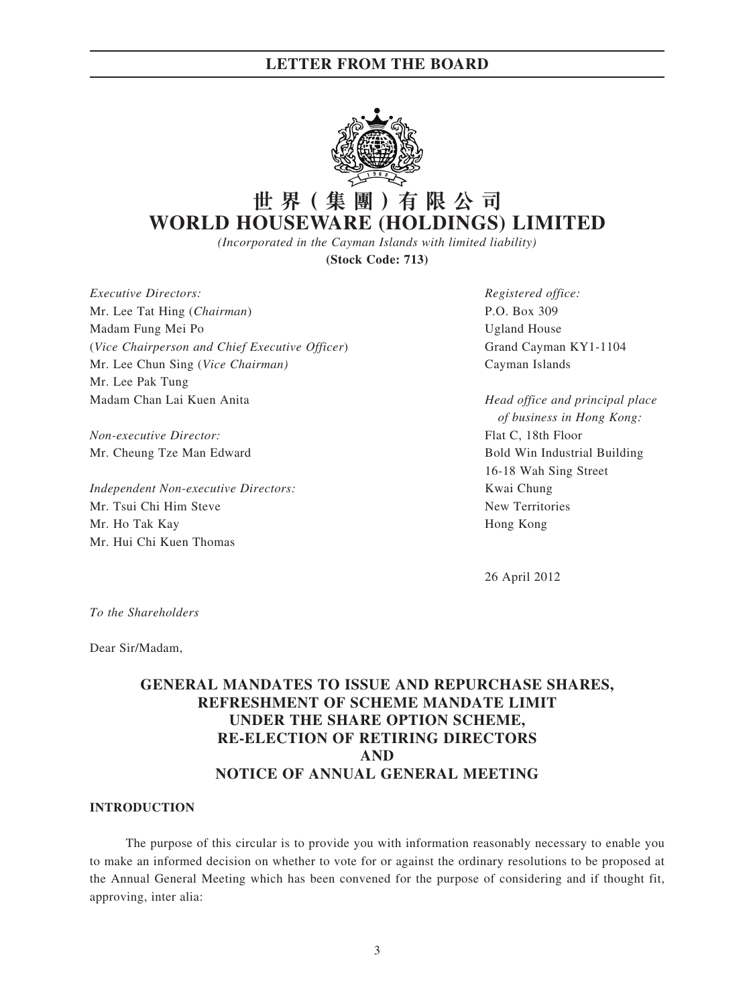

## **世 界( 集 團 )有 限 公 司 WORLD HOUSEWARE (HOLDINGS) LIMITED**

*(Incorporated in the Cayman Islands with limited liability)*

**(Stock Code: 713)**

*Executive Directors: Registered office:* Mr. Lee Tat Hing (*Chairman*) P.O. Box 309 Madam Fung Mei Po **Ugland House** (*Vice Chairperson and Chief Executive Officer*) Grand Cayman KY1-1104 Mr. Lee Chun Sing (*Vice Chairman)* Cayman Islands Mr. Lee Pak Tung Madam Chan Lai Kuen Anita *Head office and principal place* 

*Non-executive Director:* Flat C, 18th Floor

*Independent Non-executive Directors:* Kwai Chung Mr. Tsui Chi Him Steve New Territories Mr. Ho Tak Kay **Hong Kong** Mr. Hui Chi Kuen Thomas

*of business in Hong Kong:* Mr. Cheung Tze Man Edward **Bold Win Industrial Building** Bold Win Industrial Building 16-18 Wah Sing Street

26 April 2012

*To the Shareholders*

Dear Sir/Madam,

### **GENERAL MANDATES TO ISSUE AND REPURCHASE SHARES, REFRESHMENT OF SCHEME MANDATE LIMIT UNDER THE SHARE OPTION SCHEME, RE-ELECTION OF RETIRING DIRECTORS AND NOTICE OF ANNUAL GENERAL MEETING**

### **INTRODUCTION**

The purpose of this circular is to provide you with information reasonably necessary to enable you to make an informed decision on whether to vote for or against the ordinary resolutions to be proposed at the Annual General Meeting which has been convened for the purpose of considering and if thought fit, approving, inter alia: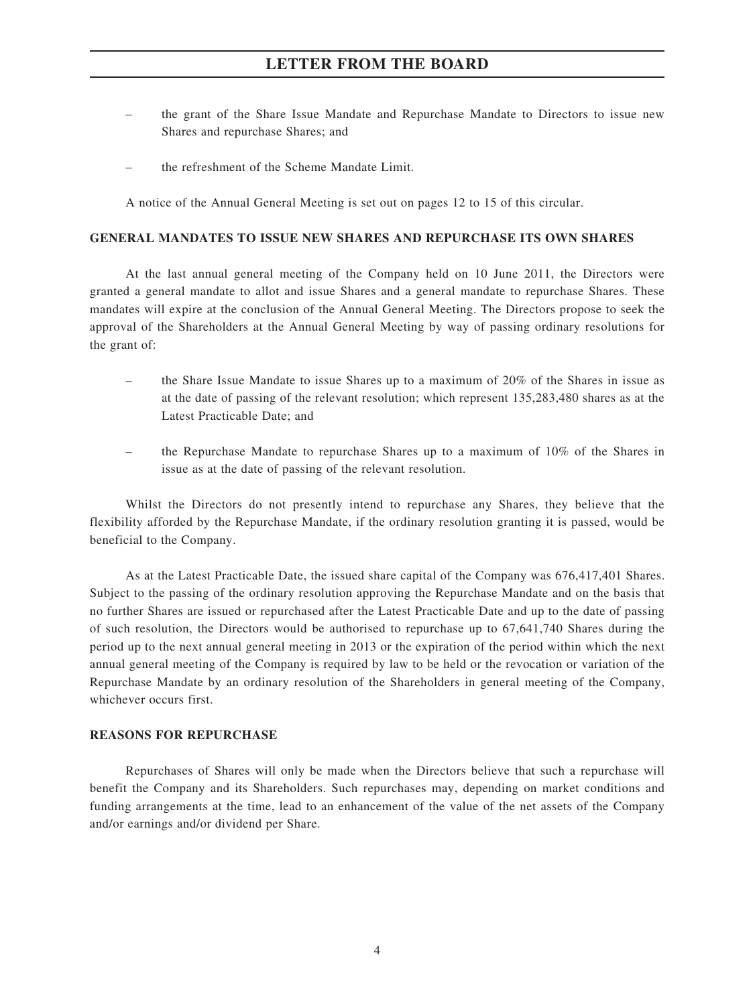- the grant of the Share Issue Mandate and Repurchase Mandate to Directors to issue new Shares and repurchase Shares; and
- the refreshment of the Scheme Mandate Limit.

A notice of the Annual General Meeting is set out on pages 12 to 15 of this circular.

#### **GENERAL MANDATES TO ISSUE NEW SHARES AND REPURCHASE ITS OWN SHARES**

At the last annual general meeting of the Company held on 10 June 2011, the Directors were granted a general mandate to allot and issue Shares and a general mandate to repurchase Shares. These mandates will expire at the conclusion of the Annual General Meeting. The Directors propose to seek the approval of the Shareholders at the Annual General Meeting by way of passing ordinary resolutions for the grant of:

- the Share Issue Mandate to issue Shares up to a maximum of 20% of the Shares in issue as at the date of passing of the relevant resolution; which represent 135,283,480 shares as at the Latest Practicable Date; and
- the Repurchase Mandate to repurchase Shares up to a maximum of 10% of the Shares in issue as at the date of passing of the relevant resolution.

Whilst the Directors do not presently intend to repurchase any Shares, they believe that the flexibility afforded by the Repurchase Mandate, if the ordinary resolution granting it is passed, would be beneficial to the Company.

As at the Latest Practicable Date, the issued share capital of the Company was 676,417,401 Shares. Subject to the passing of the ordinary resolution approving the Repurchase Mandate and on the basis that no further Shares are issued or repurchased after the Latest Practicable Date and up to the date of passing of such resolution, the Directors would be authorised to repurchase up to 67,641,740 Shares during the period up to the next annual general meeting in 2013 or the expiration of the period within which the next annual general meeting of the Company is required by law to be held or the revocation or variation of the Repurchase Mandate by an ordinary resolution of the Shareholders in general meeting of the Company, whichever occurs first.

### **REASONS FOR REPURCHASE**

Repurchases of Shares will only be made when the Directors believe that such a repurchase will benefit the Company and its Shareholders. Such repurchases may, depending on market conditions and funding arrangements at the time, lead to an enhancement of the value of the net assets of the Company and/or earnings and/or dividend per Share.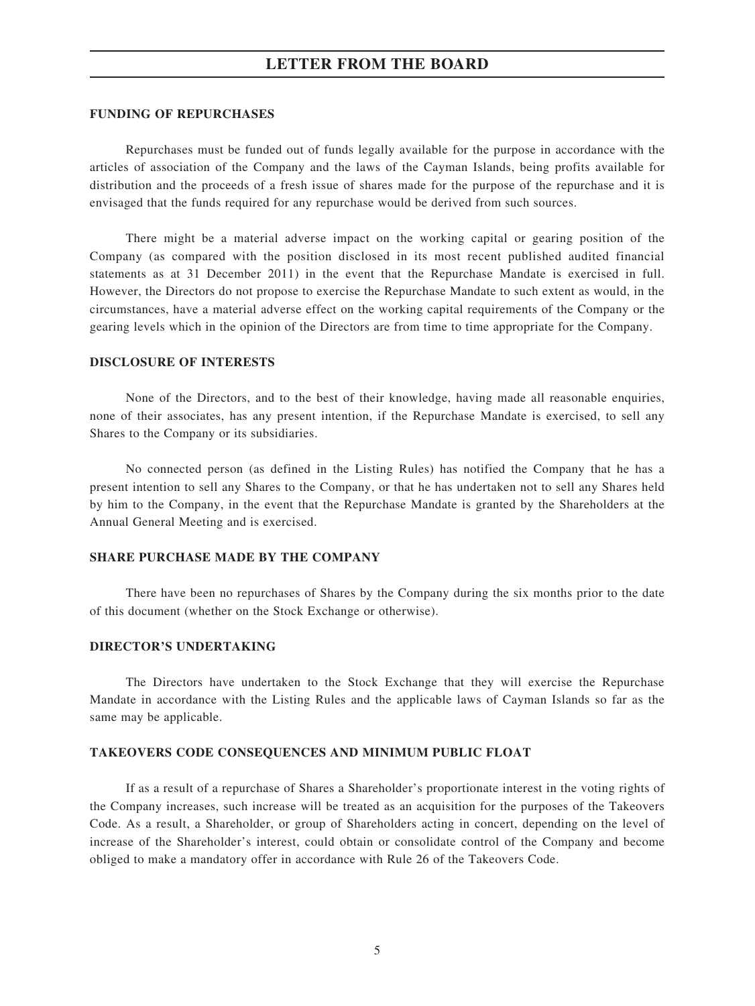#### **FUNDING OF REPURCHASES**

Repurchases must be funded out of funds legally available for the purpose in accordance with the articles of association of the Company and the laws of the Cayman Islands, being profits available for distribution and the proceeds of a fresh issue of shares made for the purpose of the repurchase and it is envisaged that the funds required for any repurchase would be derived from such sources.

There might be a material adverse impact on the working capital or gearing position of the Company (as compared with the position disclosed in its most recent published audited financial statements as at 31 December 2011) in the event that the Repurchase Mandate is exercised in full. However, the Directors do not propose to exercise the Repurchase Mandate to such extent as would, in the circumstances, have a material adverse effect on the working capital requirements of the Company or the gearing levels which in the opinion of the Directors are from time to time appropriate for the Company.

#### **DISCLOSURE OF INTERESTS**

None of the Directors, and to the best of their knowledge, having made all reasonable enquiries, none of their associates, has any present intention, if the Repurchase Mandate is exercised, to sell any Shares to the Company or its subsidiaries.

No connected person (as defined in the Listing Rules) has notified the Company that he has a present intention to sell any Shares to the Company, or that he has undertaken not to sell any Shares held by him to the Company, in the event that the Repurchase Mandate is granted by the Shareholders at the Annual General Meeting and is exercised.

#### **SHARE PURCHASE MADE BY THE COMPANY**

There have been no repurchases of Shares by the Company during the six months prior to the date of this document (whether on the Stock Exchange or otherwise).

#### **DIRECTOR'S UNDERTAKING**

The Directors have undertaken to the Stock Exchange that they will exercise the Repurchase Mandate in accordance with the Listing Rules and the applicable laws of Cayman Islands so far as the same may be applicable.

### **TAKEOVERS CODE CONSEQUENCES AND MINIMUM PUBLIC FLOAT**

If as a result of a repurchase of Shares a Shareholder's proportionate interest in the voting rights of the Company increases, such increase will be treated as an acquisition for the purposes of the Takeovers Code. As a result, a Shareholder, or group of Shareholders acting in concert, depending on the level of increase of the Shareholder's interest, could obtain or consolidate control of the Company and become obliged to make a mandatory offer in accordance with Rule 26 of the Takeovers Code.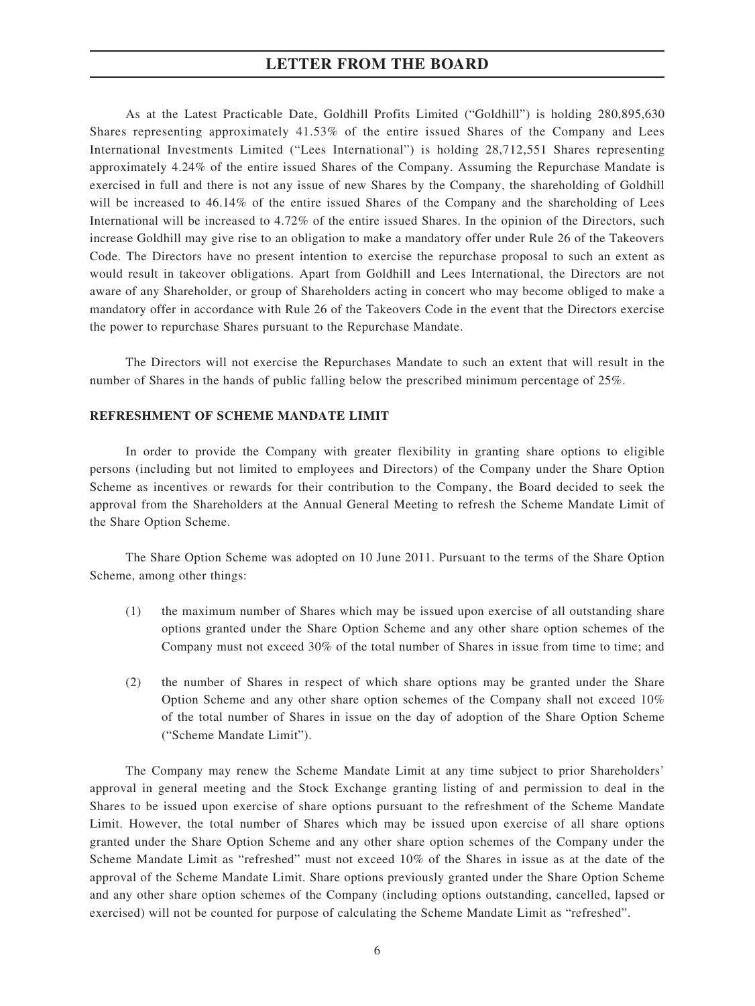As at the Latest Practicable Date, Goldhill Profits Limited ("Goldhill") is holding 280,895,630 Shares representing approximately 41.53% of the entire issued Shares of the Company and Lees International Investments Limited ("Lees International") is holding 28,712,551 Shares representing approximately 4.24% of the entire issued Shares of the Company. Assuming the Repurchase Mandate is exercised in full and there is not any issue of new Shares by the Company, the shareholding of Goldhill will be increased to 46.14% of the entire issued Shares of the Company and the shareholding of Lees International will be increased to 4.72% of the entire issued Shares. In the opinion of the Directors, such increase Goldhill may give rise to an obligation to make a mandatory offer under Rule 26 of the Takeovers Code. The Directors have no present intention to exercise the repurchase proposal to such an extent as would result in takeover obligations. Apart from Goldhill and Lees International, the Directors are not aware of any Shareholder, or group of Shareholders acting in concert who may become obliged to make a mandatory offer in accordance with Rule 26 of the Takeovers Code in the event that the Directors exercise the power to repurchase Shares pursuant to the Repurchase Mandate.

The Directors will not exercise the Repurchases Mandate to such an extent that will result in the number of Shares in the hands of public falling below the prescribed minimum percentage of 25%.

### **REFRESHMENT OF SCHEME MANDATE LIMIT**

In order to provide the Company with greater flexibility in granting share options to eligible persons (including but not limited to employees and Directors) of the Company under the Share Option Scheme as incentives or rewards for their contribution to the Company, the Board decided to seek the approval from the Shareholders at the Annual General Meeting to refresh the Scheme Mandate Limit of the Share Option Scheme.

The Share Option Scheme was adopted on 10 June 2011. Pursuant to the terms of the Share Option Scheme, among other things:

- (1) the maximum number of Shares which may be issued upon exercise of all outstanding share options granted under the Share Option Scheme and any other share option schemes of the Company must not exceed 30% of the total number of Shares in issue from time to time; and
- (2) the number of Shares in respect of which share options may be granted under the Share Option Scheme and any other share option schemes of the Company shall not exceed 10% of the total number of Shares in issue on the day of adoption of the Share Option Scheme ("Scheme Mandate Limit").

The Company may renew the Scheme Mandate Limit at any time subject to prior Shareholders' approval in general meeting and the Stock Exchange granting listing of and permission to deal in the Shares to be issued upon exercise of share options pursuant to the refreshment of the Scheme Mandate Limit. However, the total number of Shares which may be issued upon exercise of all share options granted under the Share Option Scheme and any other share option schemes of the Company under the Scheme Mandate Limit as "refreshed" must not exceed 10% of the Shares in issue as at the date of the approval of the Scheme Mandate Limit. Share options previously granted under the Share Option Scheme and any other share option schemes of the Company (including options outstanding, cancelled, lapsed or exercised) will not be counted for purpose of calculating the Scheme Mandate Limit as "refreshed".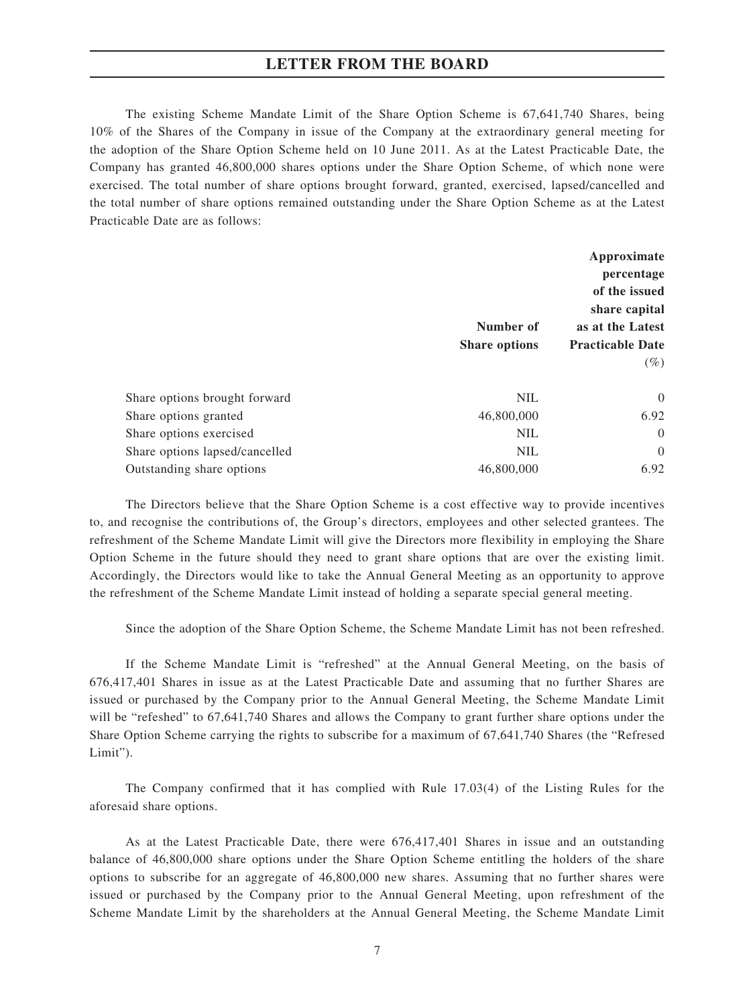The existing Scheme Mandate Limit of the Share Option Scheme is 67,641,740 Shares, being 10% of the Shares of the Company in issue of the Company at the extraordinary general meeting for the adoption of the Share Option Scheme held on 10 June 2011. As at the Latest Practicable Date, the Company has granted 46,800,000 shares options under the Share Option Scheme, of which none were exercised. The total number of share options brought forward, granted, exercised, lapsed/cancelled and the total number of share options remained outstanding under the Share Option Scheme as at the Latest Practicable Date are as follows:

|                                |                      | Approximate<br>percentage<br>of the issued |  |
|--------------------------------|----------------------|--------------------------------------------|--|
|                                |                      |                                            |  |
|                                |                      |                                            |  |
|                                | share capital        |                                            |  |
|                                | Number of            | as at the Latest                           |  |
|                                | <b>Share options</b> | <b>Practicable Date</b>                    |  |
|                                |                      | $(\%)$                                     |  |
| Share options brought forward  | <b>NIL</b>           | $\theta$                                   |  |
| Share options granted          | 46,800,000           | 6.92                                       |  |
| Share options exercised        | <b>NIL</b>           | $\theta$                                   |  |
| Share options lapsed/cancelled | <b>NIL</b>           | $\overline{0}$                             |  |
| Outstanding share options      | 46,800,000           | 6.92                                       |  |

The Directors believe that the Share Option Scheme is a cost effective way to provide incentives to, and recognise the contributions of, the Group's directors, employees and other selected grantees. The refreshment of the Scheme Mandate Limit will give the Directors more flexibility in employing the Share Option Scheme in the future should they need to grant share options that are over the existing limit. Accordingly, the Directors would like to take the Annual General Meeting as an opportunity to approve the refreshment of the Scheme Mandate Limit instead of holding a separate special general meeting.

Since the adoption of the Share Option Scheme, the Scheme Mandate Limit has not been refreshed.

If the Scheme Mandate Limit is "refreshed" at the Annual General Meeting, on the basis of 676,417,401 Shares in issue as at the Latest Practicable Date and assuming that no further Shares are issued or purchased by the Company prior to the Annual General Meeting, the Scheme Mandate Limit will be "refeshed" to 67,641,740 Shares and allows the Company to grant further share options under the Share Option Scheme carrying the rights to subscribe for a maximum of 67,641,740 Shares (the "Refresed Limit").

The Company confirmed that it has complied with Rule 17.03(4) of the Listing Rules for the aforesaid share options.

As at the Latest Practicable Date, there were 676,417,401 Shares in issue and an outstanding balance of 46,800,000 share options under the Share Option Scheme entitling the holders of the share options to subscribe for an aggregate of 46,800,000 new shares. Assuming that no further shares were issued or purchased by the Company prior to the Annual General Meeting, upon refreshment of the Scheme Mandate Limit by the shareholders at the Annual General Meeting, the Scheme Mandate Limit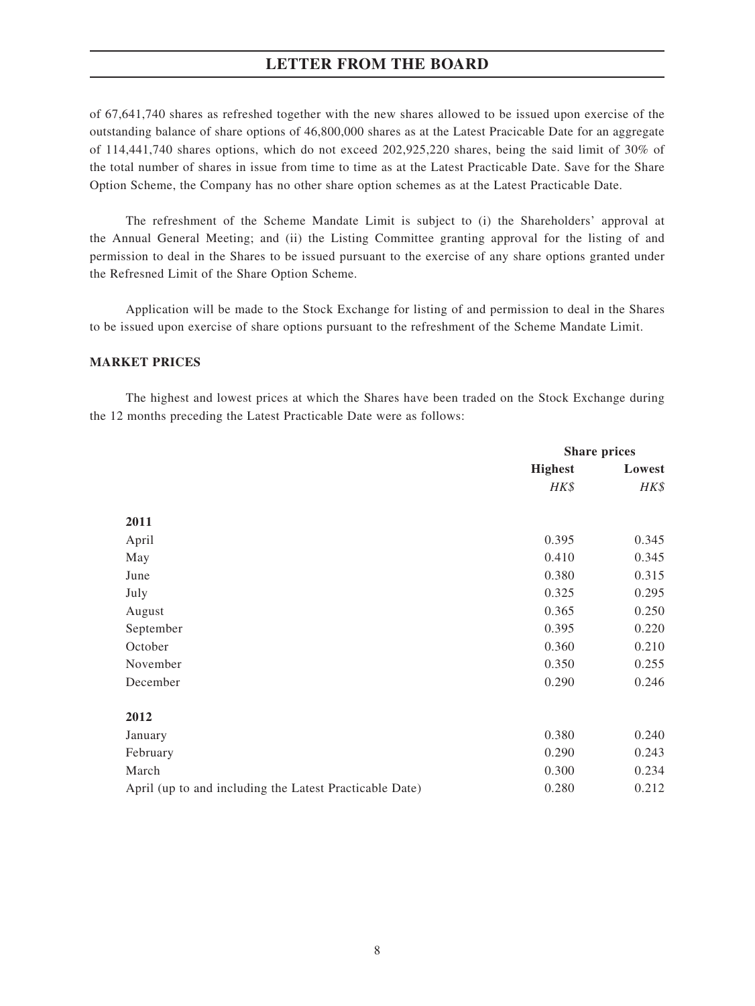of 67,641,740 shares as refreshed together with the new shares allowed to be issued upon exercise of the outstanding balance of share options of 46,800,000 shares as at the Latest Pracicable Date for an aggregate of 114,441,740 shares options, which do not exceed 202,925,220 shares, being the said limit of 30% of the total number of shares in issue from time to time as at the Latest Practicable Date. Save for the Share Option Scheme, the Company has no other share option schemes as at the Latest Practicable Date.

The refreshment of the Scheme Mandate Limit is subject to (i) the Shareholders' approval at the Annual General Meeting; and (ii) the Listing Committee granting approval for the listing of and permission to deal in the Shares to be issued pursuant to the exercise of any share options granted under the Refresned Limit of the Share Option Scheme.

Application will be made to the Stock Exchange for listing of and permission to deal in the Shares to be issued upon exercise of share options pursuant to the refreshment of the Scheme Mandate Limit.

### **MARKET PRICES**

The highest and lowest prices at which the Shares have been traded on the Stock Exchange during the 12 months preceding the Latest Practicable Date were as follows:

|                                                         | <b>Share prices</b> |        |
|---------------------------------------------------------|---------------------|--------|
|                                                         | <b>Highest</b>      | Lowest |
|                                                         | HK\$                | HK\$   |
| 2011                                                    |                     |        |
| April                                                   | 0.395               | 0.345  |
| May                                                     | 0.410               | 0.345  |
| June                                                    | 0.380               | 0.315  |
| July                                                    | 0.325               | 0.295  |
| August                                                  | 0.365               | 0.250  |
| September                                               | 0.395               | 0.220  |
| October                                                 | 0.360               | 0.210  |
| November                                                | 0.350               | 0.255  |
| December                                                | 0.290               | 0.246  |
| 2012                                                    |                     |        |
| January                                                 | 0.380               | 0.240  |
| February                                                | 0.290               | 0.243  |
| March                                                   | 0.300               | 0.234  |
| April (up to and including the Latest Practicable Date) | 0.280               | 0.212  |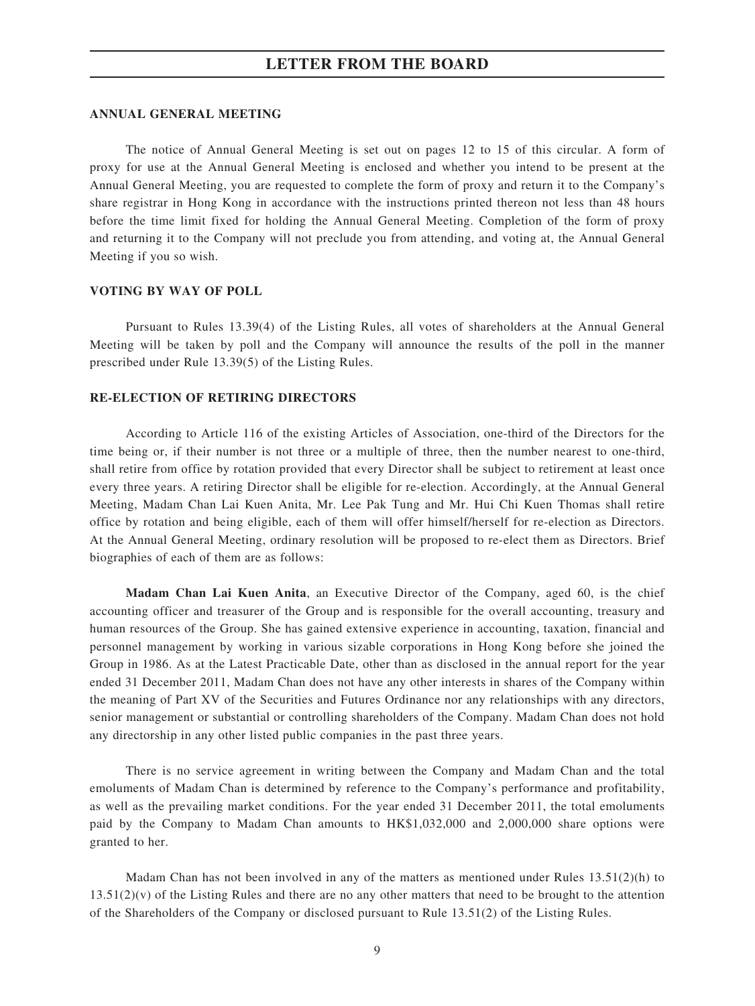#### **ANNUAL GENERAL MEETING**

The notice of Annual General Meeting is set out on pages 12 to 15 of this circular. A form of proxy for use at the Annual General Meeting is enclosed and whether you intend to be present at the Annual General Meeting, you are requested to complete the form of proxy and return it to the Company's share registrar in Hong Kong in accordance with the instructions printed thereon not less than 48 hours before the time limit fixed for holding the Annual General Meeting. Completion of the form of proxy and returning it to the Company will not preclude you from attending, and voting at, the Annual General Meeting if you so wish.

### **VOTING BY WAY OF POLL**

Pursuant to Rules 13.39(4) of the Listing Rules, all votes of shareholders at the Annual General Meeting will be taken by poll and the Company will announce the results of the poll in the manner prescribed under Rule 13.39(5) of the Listing Rules.

### **RE-ELECTION OF RETIRING DIRECTORS**

According to Article 116 of the existing Articles of Association, one-third of the Directors for the time being or, if their number is not three or a multiple of three, then the number nearest to one-third, shall retire from office by rotation provided that every Director shall be subject to retirement at least once every three years. A retiring Director shall be eligible for re-election. Accordingly, at the Annual General Meeting, Madam Chan Lai Kuen Anita, Mr. Lee Pak Tung and Mr. Hui Chi Kuen Thomas shall retire office by rotation and being eligible, each of them will offer himself/herself for re-election as Directors. At the Annual General Meeting, ordinary resolution will be proposed to re-elect them as Directors. Brief biographies of each of them are as follows:

**Madam Chan Lai Kuen Anita**, an Executive Director of the Company, aged 60, is the chief accounting officer and treasurer of the Group and is responsible for the overall accounting, treasury and human resources of the Group. She has gained extensive experience in accounting, taxation, financial and personnel management by working in various sizable corporations in Hong Kong before she joined the Group in 1986. As at the Latest Practicable Date, other than as disclosed in the annual report for the year ended 31 December 2011, Madam Chan does not have any other interests in shares of the Company within the meaning of Part XV of the Securities and Futures Ordinance nor any relationships with any directors, senior management or substantial or controlling shareholders of the Company. Madam Chan does not hold any directorship in any other listed public companies in the past three years.

There is no service agreement in writing between the Company and Madam Chan and the total emoluments of Madam Chan is determined by reference to the Company's performance and profitability, as well as the prevailing market conditions. For the year ended 31 December 2011, the total emoluments paid by the Company to Madam Chan amounts to HK\$1,032,000 and 2,000,000 share options were granted to her.

Madam Chan has not been involved in any of the matters as mentioned under Rules  $13.51(2)(h)$  to  $13.51(2)(v)$  of the Listing Rules and there are no any other matters that need to be brought to the attention of the Shareholders of the Company or disclosed pursuant to Rule 13.51(2) of the Listing Rules.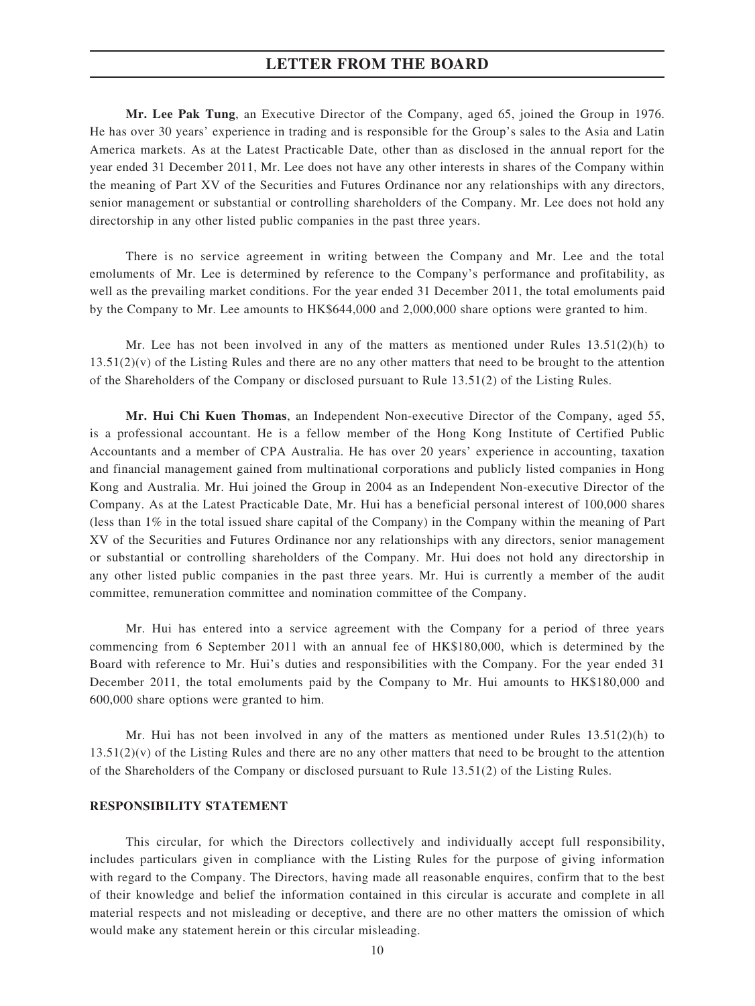**Mr. Lee Pak Tung**, an Executive Director of the Company, aged 65, joined the Group in 1976. He has over 30 years' experience in trading and is responsible for the Group's sales to the Asia and Latin America markets. As at the Latest Practicable Date, other than as disclosed in the annual report for the year ended 31 December 2011, Mr. Lee does not have any other interests in shares of the Company within the meaning of Part XV of the Securities and Futures Ordinance nor any relationships with any directors, senior management or substantial or controlling shareholders of the Company. Mr. Lee does not hold any directorship in any other listed public companies in the past three years.

There is no service agreement in writing between the Company and Mr. Lee and the total emoluments of Mr. Lee is determined by reference to the Company's performance and profitability, as well as the prevailing market conditions. For the year ended 31 December 2011, the total emoluments paid by the Company to Mr. Lee amounts to HK\$644,000 and 2,000,000 share options were granted to him.

Mr. Lee has not been involved in any of the matters as mentioned under Rules  $13.51(2)(h)$  to  $13.51(2)(v)$  of the Listing Rules and there are no any other matters that need to be brought to the attention of the Shareholders of the Company or disclosed pursuant to Rule 13.51(2) of the Listing Rules.

**Mr. Hui Chi Kuen Thomas**, an Independent Non-executive Director of the Company, aged 55, is a professional accountant. He is a fellow member of the Hong Kong Institute of Certified Public Accountants and a member of CPA Australia. He has over 20 years' experience in accounting, taxation and financial management gained from multinational corporations and publicly listed companies in Hong Kong and Australia. Mr. Hui joined the Group in 2004 as an Independent Non-executive Director of the Company. As at the Latest Practicable Date, Mr. Hui has a beneficial personal interest of 100,000 shares (less than 1% in the total issued share capital of the Company) in the Company within the meaning of Part XV of the Securities and Futures Ordinance nor any relationships with any directors, senior management or substantial or controlling shareholders of the Company. Mr. Hui does not hold any directorship in any other listed public companies in the past three years. Mr. Hui is currently a member of the audit committee, remuneration committee and nomination committee of the Company.

Mr. Hui has entered into a service agreement with the Company for a period of three years commencing from 6 September 2011 with an annual fee of HK\$180,000, which is determined by the Board with reference to Mr. Hui's duties and responsibilities with the Company. For the year ended 31 December 2011, the total emoluments paid by the Company to Mr. Hui amounts to HK\$180,000 and 600,000 share options were granted to him.

Mr. Hui has not been involved in any of the matters as mentioned under Rules  $13.51(2)(h)$  to  $13.51(2)(v)$  of the Listing Rules and there are no any other matters that need to be brought to the attention of the Shareholders of the Company or disclosed pursuant to Rule 13.51(2) of the Listing Rules.

#### **RESPONSIBILITY STATEMENT**

This circular, for which the Directors collectively and individually accept full responsibility, includes particulars given in compliance with the Listing Rules for the purpose of giving information with regard to the Company. The Directors, having made all reasonable enquires, confirm that to the best of their knowledge and belief the information contained in this circular is accurate and complete in all material respects and not misleading or deceptive, and there are no other matters the omission of which would make any statement herein or this circular misleading.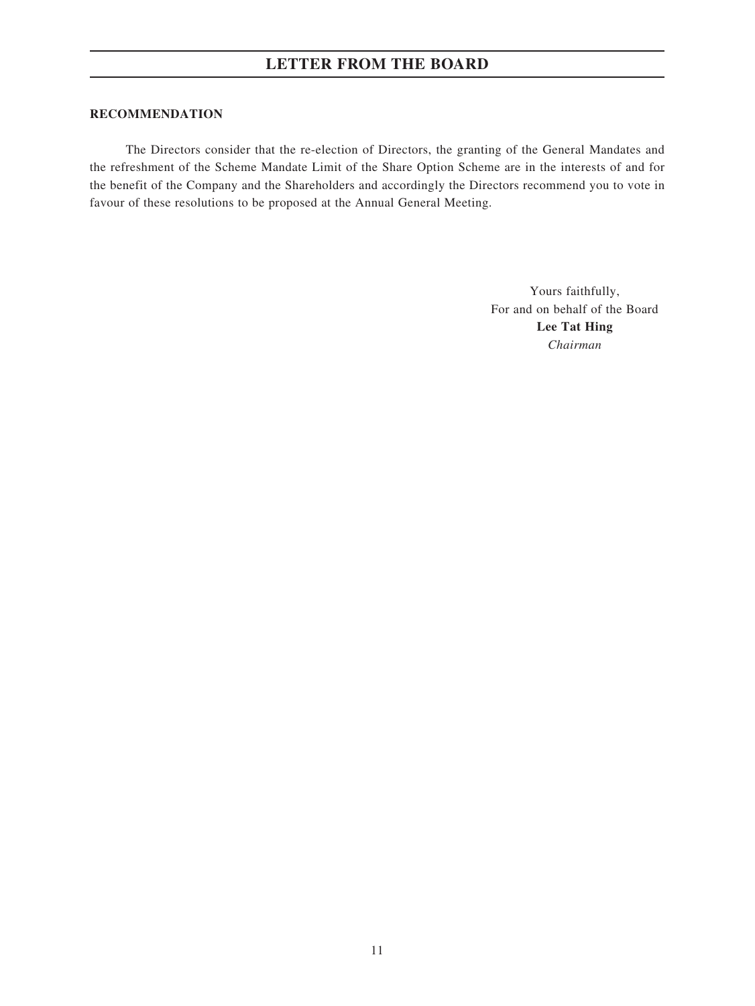#### **RECOMMENDATION**

The Directors consider that the re-election of Directors, the granting of the General Mandates and the refreshment of the Scheme Mandate Limit of the Share Option Scheme are in the interests of and for the benefit of the Company and the Shareholders and accordingly the Directors recommend you to vote in favour of these resolutions to be proposed at the Annual General Meeting.

> Yours faithfully, For and on behalf of the Board **Lee Tat Hing** *Chairman*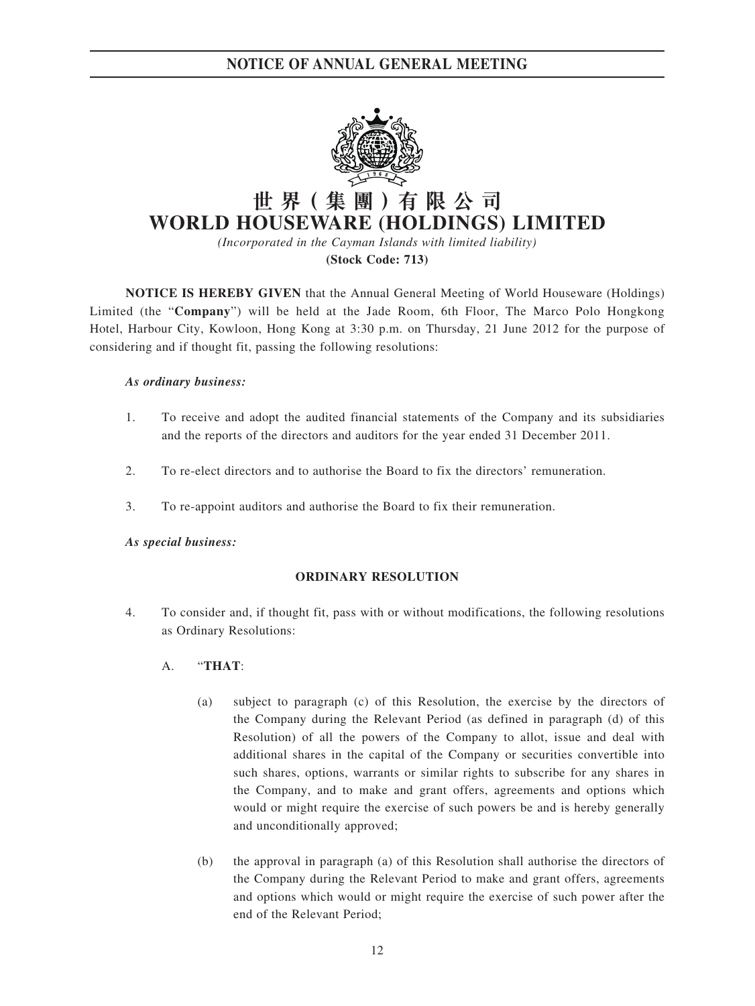**NOTICE OF ANNUAL GENERAL MEETING**



# **世 界( 集 團 )有 限 公 司 WORLD HOUSEWARE (HOLDINGS) LIMITED**

*(Incorporated in the Cayman Islands with limited liability)*

**(Stock Code: 713)**

**NOTICE IS HEREBY GIVEN** that the Annual General Meeting of World Houseware (Holdings) Limited (the "**Company**") will be held at the Jade Room, 6th Floor, The Marco Polo Hongkong Hotel, Harbour City, Kowloon, Hong Kong at 3:30 p.m. on Thursday, 21 June 2012 for the purpose of considering and if thought fit, passing the following resolutions:

### *As ordinary business:*

- 1. To receive and adopt the audited financial statements of the Company and its subsidiaries and the reports of the directors and auditors for the year ended 31 December 2011.
- 2. To re-elect directors and to authorise the Board to fix the directors' remuneration.
- 3. To re-appoint auditors and authorise the Board to fix their remuneration.

### *As special business:*

### **ORDINARY RESOLUTION**

- 4. To consider and, if thought fit, pass with or without modifications, the following resolutions as Ordinary Resolutions:
	- A. "**THAT**:
		- (a) subject to paragraph (c) of this Resolution, the exercise by the directors of the Company during the Relevant Period (as defined in paragraph (d) of this Resolution) of all the powers of the Company to allot, issue and deal with additional shares in the capital of the Company or securities convertible into such shares, options, warrants or similar rights to subscribe for any shares in the Company, and to make and grant offers, agreements and options which would or might require the exercise of such powers be and is hereby generally and unconditionally approved;
		- (b) the approval in paragraph (a) of this Resolution shall authorise the directors of the Company during the Relevant Period to make and grant offers, agreements and options which would or might require the exercise of such power after the end of the Relevant Period;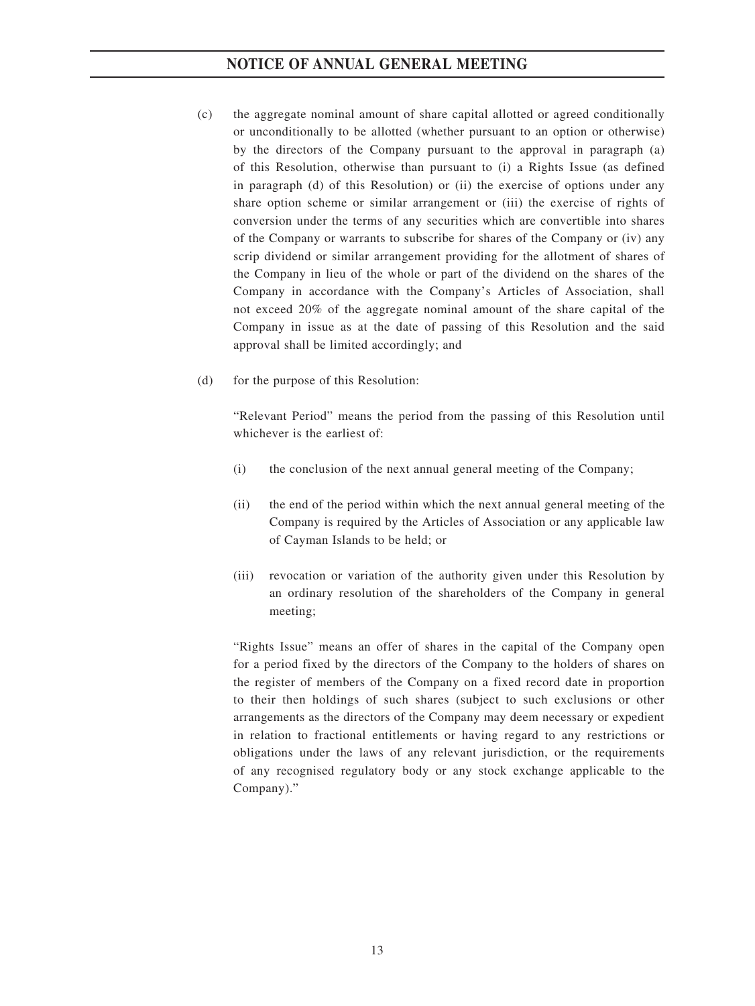### **NOTICE OF ANNUAL GENERAL MEETING**

- (c) the aggregate nominal amount of share capital allotted or agreed conditionally or unconditionally to be allotted (whether pursuant to an option or otherwise) by the directors of the Company pursuant to the approval in paragraph (a) of this Resolution, otherwise than pursuant to (i) a Rights Issue (as defined in paragraph (d) of this Resolution) or (ii) the exercise of options under any share option scheme or similar arrangement or (iii) the exercise of rights of conversion under the terms of any securities which are convertible into shares of the Company or warrants to subscribe for shares of the Company or (iv) any scrip dividend or similar arrangement providing for the allotment of shares of the Company in lieu of the whole or part of the dividend on the shares of the Company in accordance with the Company's Articles of Association, shall not exceed 20% of the aggregate nominal amount of the share capital of the Company in issue as at the date of passing of this Resolution and the said approval shall be limited accordingly; and
- (d) for the purpose of this Resolution:

"Relevant Period" means the period from the passing of this Resolution until whichever is the earliest of:

- (i) the conclusion of the next annual general meeting of the Company;
- (ii) the end of the period within which the next annual general meeting of the Company is required by the Articles of Association or any applicable law of Cayman Islands to be held; or
- (iii) revocation or variation of the authority given under this Resolution by an ordinary resolution of the shareholders of the Company in general meeting;

"Rights Issue" means an offer of shares in the capital of the Company open for a period fixed by the directors of the Company to the holders of shares on the register of members of the Company on a fixed record date in proportion to their then holdings of such shares (subject to such exclusions or other arrangements as the directors of the Company may deem necessary or expedient in relation to fractional entitlements or having regard to any restrictions or obligations under the laws of any relevant jurisdiction, or the requirements of any recognised regulatory body or any stock exchange applicable to the Company)."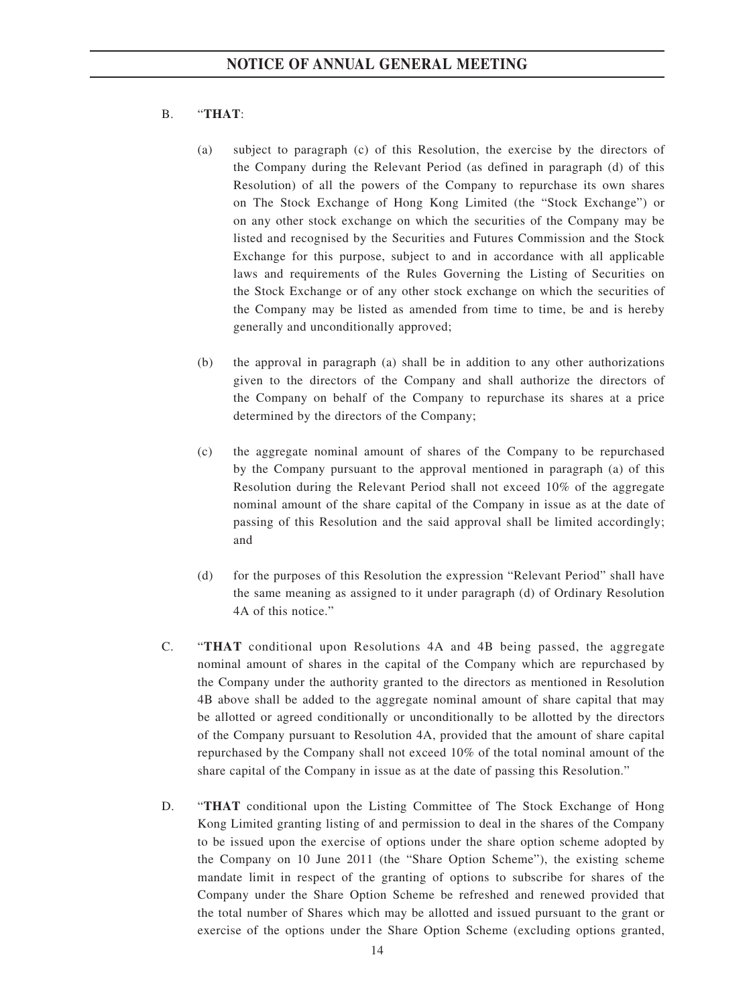### B. "**THAT**:

- (a) subject to paragraph (c) of this Resolution, the exercise by the directors of the Company during the Relevant Period (as defined in paragraph (d) of this Resolution) of all the powers of the Company to repurchase its own shares on The Stock Exchange of Hong Kong Limited (the "Stock Exchange") or on any other stock exchange on which the securities of the Company may be listed and recognised by the Securities and Futures Commission and the Stock Exchange for this purpose, subject to and in accordance with all applicable laws and requirements of the Rules Governing the Listing of Securities on the Stock Exchange or of any other stock exchange on which the securities of the Company may be listed as amended from time to time, be and is hereby generally and unconditionally approved;
- (b) the approval in paragraph (a) shall be in addition to any other authorizations given to the directors of the Company and shall authorize the directors of the Company on behalf of the Company to repurchase its shares at a price determined by the directors of the Company;
- (c) the aggregate nominal amount of shares of the Company to be repurchased by the Company pursuant to the approval mentioned in paragraph (a) of this Resolution during the Relevant Period shall not exceed 10% of the aggregate nominal amount of the share capital of the Company in issue as at the date of passing of this Resolution and the said approval shall be limited accordingly; and
- (d) for the purposes of this Resolution the expression "Relevant Period" shall have the same meaning as assigned to it under paragraph (d) of Ordinary Resolution 4A of this notice."
- C. "**THAT** conditional upon Resolutions 4A and 4B being passed, the aggregate nominal amount of shares in the capital of the Company which are repurchased by the Company under the authority granted to the directors as mentioned in Resolution 4B above shall be added to the aggregate nominal amount of share capital that may be allotted or agreed conditionally or unconditionally to be allotted by the directors of the Company pursuant to Resolution 4A, provided that the amount of share capital repurchased by the Company shall not exceed 10% of the total nominal amount of the share capital of the Company in issue as at the date of passing this Resolution."
- D. "**THAT** conditional upon the Listing Committee of The Stock Exchange of Hong Kong Limited granting listing of and permission to deal in the shares of the Company to be issued upon the exercise of options under the share option scheme adopted by the Company on 10 June 2011 (the "Share Option Scheme"), the existing scheme mandate limit in respect of the granting of options to subscribe for shares of the Company under the Share Option Scheme be refreshed and renewed provided that the total number of Shares which may be allotted and issued pursuant to the grant or exercise of the options under the Share Option Scheme (excluding options granted,